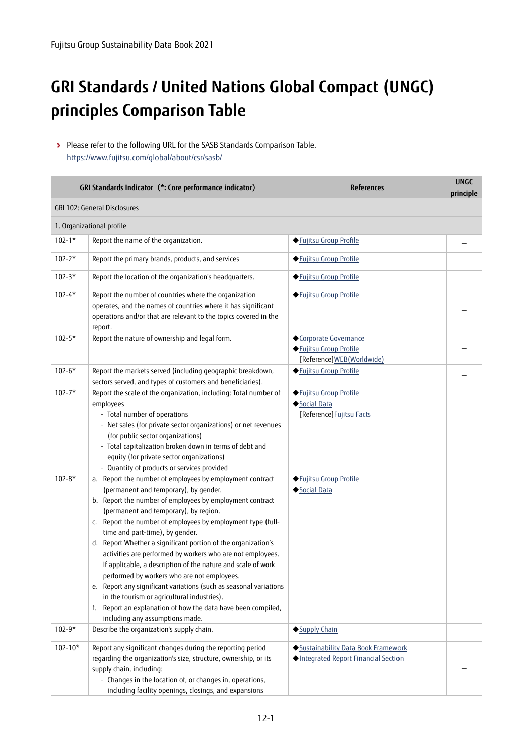## **GRI Standards / United Nations Global Compact (UNGC) principles Comparison Table**

Please refer to the following URL for the SASB Standards Comparison Table. https://www.fujitsu.com/global/about/csr/sasb/

|                          | GRI Standards Indicator (*: Core performance indicator)                                                                                                                                                                                                                                                                                                                                                                                                                                                                                                                                                                                                                                                                                                                                                                    | <b>References</b>                                                             | <b>UNGC</b><br>principle |
|--------------------------|----------------------------------------------------------------------------------------------------------------------------------------------------------------------------------------------------------------------------------------------------------------------------------------------------------------------------------------------------------------------------------------------------------------------------------------------------------------------------------------------------------------------------------------------------------------------------------------------------------------------------------------------------------------------------------------------------------------------------------------------------------------------------------------------------------------------------|-------------------------------------------------------------------------------|--------------------------|
|                          | GRI 102: General Disclosures                                                                                                                                                                                                                                                                                                                                                                                                                                                                                                                                                                                                                                                                                                                                                                                               |                                                                               |                          |
|                          | 1. Organizational profile                                                                                                                                                                                                                                                                                                                                                                                                                                                                                                                                                                                                                                                                                                                                                                                                  |                                                                               |                          |
| $102 - 1*$               | Report the name of the organization.                                                                                                                                                                                                                                                                                                                                                                                                                                                                                                                                                                                                                                                                                                                                                                                       | ◆ Fujitsu Group Profile                                                       |                          |
| $102 - 2*$               | Report the primary brands, products, and services                                                                                                                                                                                                                                                                                                                                                                                                                                                                                                                                                                                                                                                                                                                                                                          | ◆ Fujitsu Group Profile                                                       |                          |
| $102 - 3*$               | Report the location of the organization's headquarters.                                                                                                                                                                                                                                                                                                                                                                                                                                                                                                                                                                                                                                                                                                                                                                    | ◆ Fujitsu Group Profile                                                       |                          |
| $102 - 4*$               | Report the number of countries where the organization<br>operates, and the names of countries where it has significant<br>operations and/or that are relevant to the topics covered in the<br>report.                                                                                                                                                                                                                                                                                                                                                                                                                                                                                                                                                                                                                      | ◆ Fujitsu Group Profile                                                       |                          |
| $102 - 5*$               | Report the nature of ownership and legal form.                                                                                                                                                                                                                                                                                                                                                                                                                                                                                                                                                                                                                                                                                                                                                                             | ◆Corporate Governance<br>◆ Fujitsu Group Profile<br>[Reference]WEB(Worldwide) |                          |
| $102 - 6*$               | Report the markets served (including geographic breakdown,<br>sectors served, and types of customers and beneficiaries).                                                                                                                                                                                                                                                                                                                                                                                                                                                                                                                                                                                                                                                                                                   | ◆ Fujitsu Group Profile                                                       |                          |
| $102 - 7*$               | Report the scale of the organization, including: Total number of<br>employees<br>- Total number of operations<br>- Net sales (for private sector organizations) or net revenues<br>(for public sector organizations)<br>- Total capitalization broken down in terms of debt and<br>equity (for private sector organizations)<br>- Quantity of products or services provided                                                                                                                                                                                                                                                                                                                                                                                                                                                | ◆ Fujitsu Group Profile<br>Social Data<br>[Reference] Fujitsu Facts           |                          |
| $102 - 8*$<br>$102 - 9*$ | a. Report the number of employees by employment contract<br>(permanent and temporary), by gender.<br>b. Report the number of employees by employment contract<br>(permanent and temporary), by region.<br>c. Report the number of employees by employment type (full-<br>time and part-time), by gender.<br>d. Report Whether a significant portion of the organization's<br>activities are performed by workers who are not employees.<br>If applicable, a description of the nature and scale of work<br>performed by workers who are not employees.<br>e. Report any significant variations (such as seasonal variations<br>in the tourism or agricultural industries).<br>f. Report an explanation of how the data have been compiled,<br>including any assumptions made.<br>Describe the organization's supply chain. | ◆ Fujitsu Group Profile<br>Social Data<br>◆Supply Chain                       |                          |
|                          |                                                                                                                                                                                                                                                                                                                                                                                                                                                                                                                                                                                                                                                                                                                                                                                                                            |                                                                               |                          |
| $102 - 10*$              | Report any significant changes during the reporting period<br>regarding the organization's size, structure, ownership, or its<br>supply chain, including:<br>- Changes in the location of, or changes in, operations,<br>including facility openings, closings, and expansions                                                                                                                                                                                                                                                                                                                                                                                                                                                                                                                                             | Sustainability Data Book Framework<br>Integrated Report Financial Section     |                          |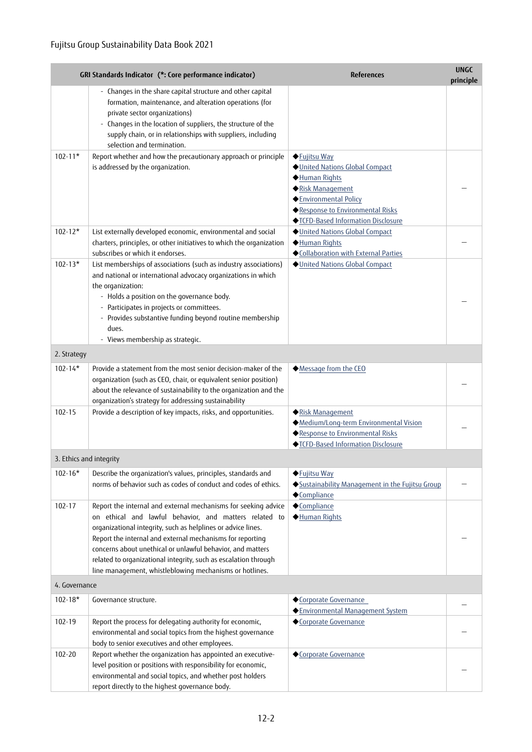|                         | GRI Standards Indicator (*: Core performance indicator)                                                                                                                                                                                                                                                                                                                                                                                           | <b>References</b>                                                                                                                                                                     | <b>UNGC</b><br>principle |
|-------------------------|---------------------------------------------------------------------------------------------------------------------------------------------------------------------------------------------------------------------------------------------------------------------------------------------------------------------------------------------------------------------------------------------------------------------------------------------------|---------------------------------------------------------------------------------------------------------------------------------------------------------------------------------------|--------------------------|
|                         | - Changes in the share capital structure and other capital<br>formation, maintenance, and alteration operations (for<br>private sector organizations)<br>- Changes in the location of suppliers, the structure of the<br>supply chain, or in relationships with suppliers, including                                                                                                                                                              |                                                                                                                                                                                       |                          |
| $102 - 11*$             | selection and termination.<br>Report whether and how the precautionary approach or principle<br>is addressed by the organization.                                                                                                                                                                                                                                                                                                                 | ◆ Fujitsu Way<br>United Nations Global Compact<br>Human Rights<br>Risk Management<br>Environmental Policy<br>◆ Response to Environmental Risks<br>◆ TCFD-Based Information Disclosure |                          |
| $102 - 12*$             | List externally developed economic, environmental and social<br>charters, principles, or other initiatives to which the organization<br>subscribes or which it endorses.                                                                                                                                                                                                                                                                          | United Nations Global Compact<br>Human Rights<br>◆Collaboration with External Parties                                                                                                 |                          |
| $102 - 13*$             | List memberships of associations (such as industry associations)<br>and national or international advocacy organizations in which<br>the organization:<br>- Holds a position on the governance body.<br>- Participates in projects or committees.<br>- Provides substantive funding beyond routine membership<br>dues.<br>- Views membership as strategic.                                                                                        | United Nations Global Compact                                                                                                                                                         |                          |
| 2. Strategy             |                                                                                                                                                                                                                                                                                                                                                                                                                                                   |                                                                                                                                                                                       |                          |
| $102 - 14*$             | Provide a statement from the most senior decision-maker of the<br>organization (such as CEO, chair, or equivalent senior position)<br>about the relevance of sustainability to the organization and the<br>organization's strategy for addressing sustainability                                                                                                                                                                                  | Message from the CEO                                                                                                                                                                  |                          |
| 102-15                  | Provide a description of key impacts, risks, and opportunities.                                                                                                                                                                                                                                                                                                                                                                                   | Risk Management<br>Medium/Long-term Environmental Vision<br>◆ Response to Environmental Risks<br>◆ TCFD-Based Information Disclosure                                                  |                          |
| 3. Ethics and integrity |                                                                                                                                                                                                                                                                                                                                                                                                                                                   |                                                                                                                                                                                       |                          |
| $102 - 16*$             | Describe the organization's values, principles, standards and<br>norms of behavior such as codes of conduct and codes of ethics.                                                                                                                                                                                                                                                                                                                  | ◆ Fujitsu Way<br>Sustainability Management in the Fujitsu Group<br>◆Compliance                                                                                                        |                          |
| 102-17                  | Report the internal and external mechanisms for seeking advice<br>on ethical and lawful behavior, and matters related to<br>organizational integrity, such as helplines or advice lines.<br>Report the internal and external mechanisms for reporting<br>concerns about unethical or unlawful behavior, and matters<br>related to organizational integrity, such as escalation through<br>line management, whistleblowing mechanisms or hotlines. | ◆Compliance<br>Human Rights                                                                                                                                                           |                          |
| 4. Governance           |                                                                                                                                                                                                                                                                                                                                                                                                                                                   |                                                                                                                                                                                       |                          |
| $102 - 18*$             | Governance structure.                                                                                                                                                                                                                                                                                                                                                                                                                             | Corporate Governance<br>◆ Environmental Management System                                                                                                                             |                          |
| 102-19                  | Report the process for delegating authority for economic,<br>environmental and social topics from the highest governance<br>body to senior executives and other employees.                                                                                                                                                                                                                                                                        | Corporate Governance                                                                                                                                                                  |                          |
| 102-20                  | Report whether the organization has appointed an executive-<br>level position or positions with responsibility for economic,<br>environmental and social topics, and whether post holders<br>report directly to the highest governance body.                                                                                                                                                                                                      | Corporate Governance                                                                                                                                                                  |                          |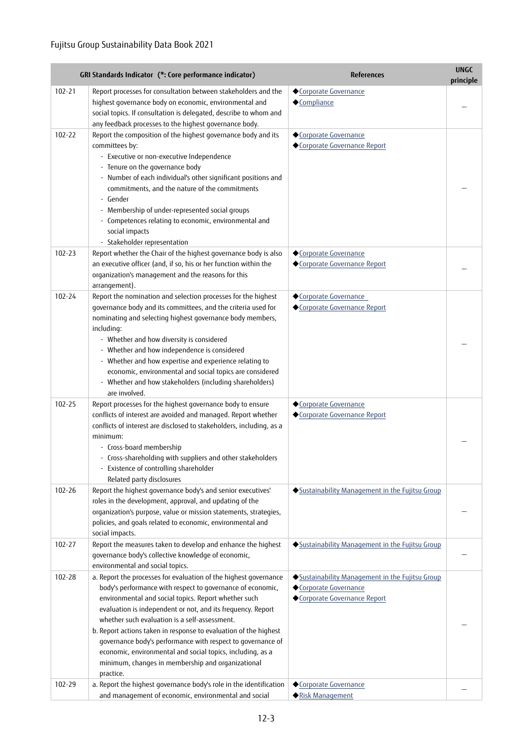|            | GRI Standards Indicator (*: Core performance indicator)                                                                                                                                                                                                                                                                                                                                                                                                                                                                                                                   | <b>References</b>                                                                                     | <b>UNGC</b><br>principle |
|------------|---------------------------------------------------------------------------------------------------------------------------------------------------------------------------------------------------------------------------------------------------------------------------------------------------------------------------------------------------------------------------------------------------------------------------------------------------------------------------------------------------------------------------------------------------------------------------|-------------------------------------------------------------------------------------------------------|--------------------------|
| $102 - 21$ | Report processes for consultation between stakeholders and the<br>highest governance body on economic, environmental and<br>social topics. If consultation is delegated, describe to whom and<br>any feedback processes to the highest governance body.                                                                                                                                                                                                                                                                                                                   | Corporate Governance<br>◆Compliance                                                                   |                          |
| 102-22     | Report the composition of the highest governance body and its<br>committees by:<br>- Executive or non-executive Independence<br>- Tenure on the governance body<br>- Number of each individual's other significant positions and<br>commitments, and the nature of the commitments<br>- Gender<br>- Membership of under-represented social groups<br>- Competences relating to economic, environmental and<br>social impacts<br>- Stakeholder representation                                                                                                              | Corporate Governance<br>Corporate Governance Report                                                   |                          |
| 102-23     | Report whether the Chair of the highest governance body is also<br>an executive officer (and, if so, his or her function within the<br>organization's management and the reasons for this<br>arrangement).                                                                                                                                                                                                                                                                                                                                                                | Corporate Governance<br>Corporate Governance Report                                                   |                          |
| $102 - 24$ | Report the nomination and selection processes for the highest<br>governance body and its committees, and the criteria used for<br>nominating and selecting highest governance body members,<br>including:<br>- Whether and how diversity is considered<br>- Whether and how independence is considered<br>- Whether and how expertise and experience relating to<br>economic, environmental and social topics are considered<br>- Whether and how stakeholders (including shareholders)<br>are involved.                                                                  | Corporate Governance<br>Corporate Governance Report                                                   |                          |
| 102-25     | Report processes for the highest governance body to ensure<br>conflicts of interest are avoided and managed. Report whether<br>conflicts of interest are disclosed to stakeholders, including, as a<br>minimum:<br>- Cross-board membership<br>- Cross-shareholding with suppliers and other stakeholders<br>- Existence of controlling shareholder<br>Related party disclosures                                                                                                                                                                                          | ◆Corporate Governance<br>◆Corporate Governance Report                                                 |                          |
| $102 - 26$ | Report the highest governance body's and senior executives'<br>roles in the development, approval, and updating of the<br>organization's purpose, value or mission statements, strategies,<br>policies, and goals related to economic, environmental and<br>social impacts.                                                                                                                                                                                                                                                                                               | ◆Sustainability Management in the Fujitsu Group                                                       |                          |
| 102-27     | Report the measures taken to develop and enhance the highest<br>governance body's collective knowledge of economic,<br>environmental and social topics.                                                                                                                                                                                                                                                                                                                                                                                                                   | Sustainability Management in the Fujitsu Group                                                        |                          |
| 102-28     | a. Report the processes for evaluation of the highest governance<br>body's performance with respect to governance of economic,<br>environmental and social topics. Report whether such<br>evaluation is independent or not, and its frequency. Report<br>whether such evaluation is a self-assessment.<br>b. Report actions taken in response to evaluation of the highest<br>governance body's performance with respect to governance of<br>economic, environmental and social topics, including, as a<br>minimum, changes in membership and organizational<br>practice. | Sustainability Management in the Fujitsu Group<br>Corporate Governance<br>Corporate Governance Report |                          |
| 102-29     | a. Report the highest governance body's role in the identification<br>and management of economic, environmental and social                                                                                                                                                                                                                                                                                                                                                                                                                                                | Corporate Governance<br>Risk Management                                                               |                          |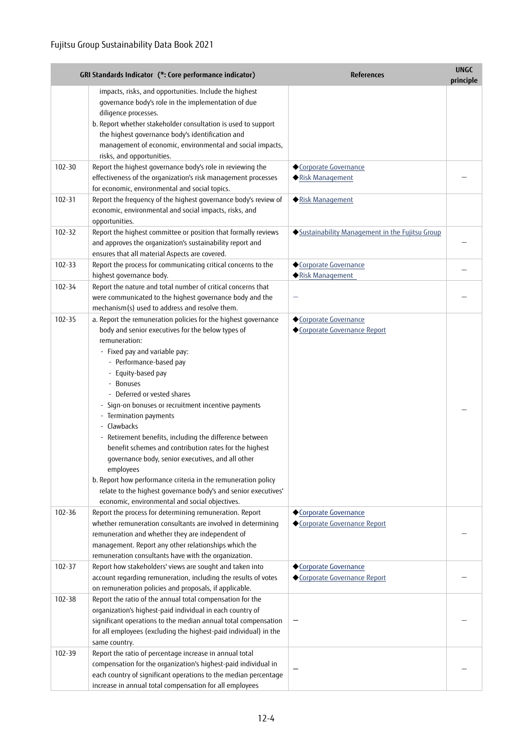|            | GRI Standards Indicator (*: Core performance indicator)                                                                                                                                                                                                                                                                                                                                                                                                                                                                                                                                                                                                                                                                                        | <b>References</b>                                    | <b>UNGC</b><br>principle |
|------------|------------------------------------------------------------------------------------------------------------------------------------------------------------------------------------------------------------------------------------------------------------------------------------------------------------------------------------------------------------------------------------------------------------------------------------------------------------------------------------------------------------------------------------------------------------------------------------------------------------------------------------------------------------------------------------------------------------------------------------------------|------------------------------------------------------|--------------------------|
|            | impacts, risks, and opportunities. Include the highest<br>governance body's role in the implementation of due<br>diligence processes.<br>b. Report whether stakeholder consultation is used to support                                                                                                                                                                                                                                                                                                                                                                                                                                                                                                                                         |                                                      |                          |
|            | the highest governance body's identification and<br>management of economic, environmental and social impacts,<br>risks, and opportunities.                                                                                                                                                                                                                                                                                                                                                                                                                                                                                                                                                                                                     |                                                      |                          |
| 102-30     | Report the highest governance body's role in reviewing the<br>effectiveness of the organization's risk management processes<br>for economic, environmental and social topics.                                                                                                                                                                                                                                                                                                                                                                                                                                                                                                                                                                  | Corporate Governance<br>Risk Management              |                          |
| 102-31     | Report the frequency of the highest governance body's review of<br>economic, environmental and social impacts, risks, and<br>opportunities.                                                                                                                                                                                                                                                                                                                                                                                                                                                                                                                                                                                                    | Risk Management                                      |                          |
| 102-32     | Report the highest committee or position that formally reviews<br>and approves the organization's sustainability report and<br>ensures that all material Aspects are covered.                                                                                                                                                                                                                                                                                                                                                                                                                                                                                                                                                                  | Sustainability Management in the Fujitsu Group       |                          |
| 102-33     | Report the process for communicating critical concerns to the<br>highest governance body.                                                                                                                                                                                                                                                                                                                                                                                                                                                                                                                                                                                                                                                      | Corporate Governance<br>◆ Risk Management            |                          |
| 102-34     | Report the nature and total number of critical concerns that<br>were communicated to the highest governance body and the<br>mechanism(s) used to address and resolve them.                                                                                                                                                                                                                                                                                                                                                                                                                                                                                                                                                                     |                                                      |                          |
| 102-35     | a. Report the remuneration policies for the highest governance<br>body and senior executives for the below types of<br>remuneration:<br>- Fixed pay and variable pay:<br>- Performance-based pay<br>- Equity-based pay<br>- Bonuses<br>- Deferred or vested shares<br>- Sign-on bonuses or recruitment incentive payments<br>- Termination payments<br>- Clawbacks<br>- Retirement benefits, including the difference between<br>benefit schemes and contribution rates for the highest<br>governance body, senior executives, and all other<br>employees<br>b. Report how performance criteria in the remuneration policy<br>relate to the highest governance body's and senior executives'<br>economic, environmental and social objectives. | ◆Corporate Governance<br>Corporate Governance Report |                          |
| 102-36     | Report the process for determining remuneration. Report<br>whether remuneration consultants are involved in determining<br>remuneration and whether they are independent of<br>management. Report any other relationships which the<br>remuneration consultants have with the organization.                                                                                                                                                                                                                                                                                                                                                                                                                                                    | ◆Corporate Governance<br>Corporate Governance Report |                          |
| $102 - 37$ | Report how stakeholders' views are sought and taken into<br>account regarding remuneration, including the results of votes<br>on remuneration policies and proposals, if applicable.                                                                                                                                                                                                                                                                                                                                                                                                                                                                                                                                                           | ◆Corporate Governance<br>Corporate Governance Report |                          |
| 102-38     | Report the ratio of the annual total compensation for the<br>organization's highest-paid individual in each country of<br>significant operations to the median annual total compensation<br>for all employees (excluding the highest-paid individual) in the<br>same country.                                                                                                                                                                                                                                                                                                                                                                                                                                                                  |                                                      |                          |
| 102-39     | Report the ratio of percentage increase in annual total<br>compensation for the organization's highest-paid individual in<br>each country of significant operations to the median percentage<br>increase in annual total compensation for all employees                                                                                                                                                                                                                                                                                                                                                                                                                                                                                        |                                                      |                          |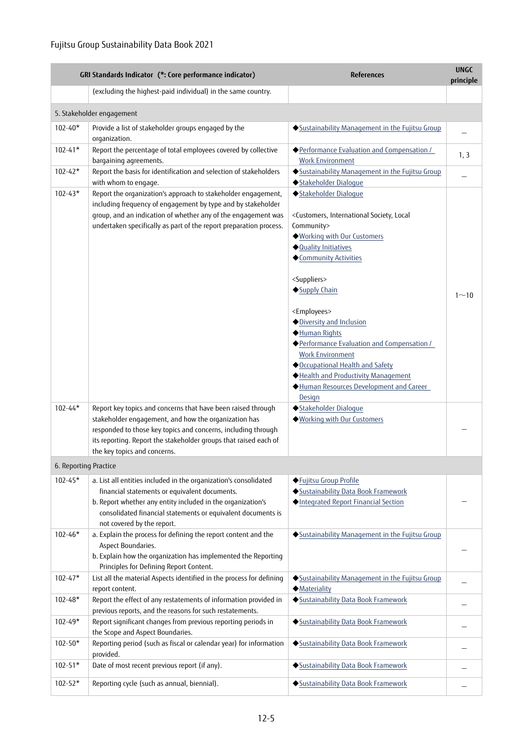|                       | GRI Standards Indicator (*: Core performance indicator)                                                                                                                                                                                                                                   | <b>References</b>                                                                                                                                                                                                                                                                                                                                                                                                                                                                                                      | <b>UNGC</b><br>principle |
|-----------------------|-------------------------------------------------------------------------------------------------------------------------------------------------------------------------------------------------------------------------------------------------------------------------------------------|------------------------------------------------------------------------------------------------------------------------------------------------------------------------------------------------------------------------------------------------------------------------------------------------------------------------------------------------------------------------------------------------------------------------------------------------------------------------------------------------------------------------|--------------------------|
|                       | (excluding the highest-paid individual) in the same country.                                                                                                                                                                                                                              |                                                                                                                                                                                                                                                                                                                                                                                                                                                                                                                        |                          |
|                       | 5. Stakeholder engagement                                                                                                                                                                                                                                                                 |                                                                                                                                                                                                                                                                                                                                                                                                                                                                                                                        |                          |
| $102 - 40*$           | Provide a list of stakeholder groups engaged by the<br>organization.                                                                                                                                                                                                                      | Sustainability Management in the Fujitsu Group                                                                                                                                                                                                                                                                                                                                                                                                                                                                         |                          |
| $102 - 41*$           | Report the percentage of total employees covered by collective<br>bargaining agreements.                                                                                                                                                                                                  | ◆ Performance Evaluation and Compensation /<br><b>Work Environment</b>                                                                                                                                                                                                                                                                                                                                                                                                                                                 | 1, 3                     |
| $102 - 42*$           | Report the basis for identification and selection of stakeholders<br>with whom to engage.                                                                                                                                                                                                 | Sustainability Management in the Fujitsu Group<br>◆Stakeholder Dialoque                                                                                                                                                                                                                                                                                                                                                                                                                                                |                          |
| $102 - 43*$           | Report the organization's approach to stakeholder engagement,<br>including frequency of engagement by type and by stakeholder<br>group, and an indication of whether any of the engagement was<br>undertaken specifically as part of the report preparation process.                      | ◆Stakeholder Dialoque<br><customers, international="" local<br="" society,="">Community&gt;<br/>◆ Working with Our Customers<br/>◆ Quality Initiatives<br/>◆Community Activities<br/><suppliers><br/>Supply Chain<br/><employees><br/>◆ Diversity and Inclusion<br/>Human Rights<br/>◆ Performance Evaluation and Compensation /<br/><b>Work Environment</b><br/>Occupational Health and Safety<br/>Health and Productivity Management<br/>Human Resources Development and Career</employees></suppliers></customers,> | $1 - 10$                 |
| $102 - 44*$           | Report key topics and concerns that have been raised through<br>stakeholder engagement, and how the organization has<br>responded to those key topics and concerns, including through<br>its reporting. Report the stakeholder groups that raised each of<br>the key topics and concerns. | Design<br>Stakeholder Dialoque<br>◆ Working with Our Customers                                                                                                                                                                                                                                                                                                                                                                                                                                                         |                          |
| 6. Reporting Practice |                                                                                                                                                                                                                                                                                           |                                                                                                                                                                                                                                                                                                                                                                                                                                                                                                                        |                          |
| $102 - 45*$           | a. List all entities included in the organization's consolidated<br>financial statements or equivalent documents.<br>b. Report whether any entity included in the organization's<br>consolidated financial statements or equivalent documents is<br>not covered by the report.            | ◆ Fujitsu Group Profile<br>Sustainability Data Book Framework<br>Integrated Report Financial Section                                                                                                                                                                                                                                                                                                                                                                                                                   |                          |
| $102 - 46*$           | a. Explain the process for defining the report content and the<br>Aspect Boundaries.<br>b. Explain how the organization has implemented the Reporting<br>Principles for Defining Report Content.                                                                                          | Sustainability Management in the Fujitsu Group                                                                                                                                                                                                                                                                                                                                                                                                                                                                         |                          |
| $102 - 47*$           | List all the material Aspects identified in the process for defining<br>report content.                                                                                                                                                                                                   | Sustainability Management in the Fujitsu Group<br><b>Materiality</b>                                                                                                                                                                                                                                                                                                                                                                                                                                                   |                          |
| $102 - 48*$           | Report the effect of any restatements of information provided in<br>previous reports, and the reasons for such restatements.                                                                                                                                                              | Sustainability Data Book Framework                                                                                                                                                                                                                                                                                                                                                                                                                                                                                     |                          |
| $102 - 49*$           | Report significant changes from previous reporting periods in<br>the Scope and Aspect Boundaries.                                                                                                                                                                                         | Sustainability Data Book Framework                                                                                                                                                                                                                                                                                                                                                                                                                                                                                     |                          |
| $102 - 50*$           | Reporting period (such as fiscal or calendar year) for information<br>provided.                                                                                                                                                                                                           | Sustainability Data Book Framework                                                                                                                                                                                                                                                                                                                                                                                                                                                                                     |                          |
| $102 - 51*$           | Date of most recent previous report (if any).                                                                                                                                                                                                                                             | Sustainability Data Book Framework                                                                                                                                                                                                                                                                                                                                                                                                                                                                                     |                          |
| $102 - 52*$           | Reporting cycle (such as annual, biennial).                                                                                                                                                                                                                                               | Sustainability Data Book Framework                                                                                                                                                                                                                                                                                                                                                                                                                                                                                     |                          |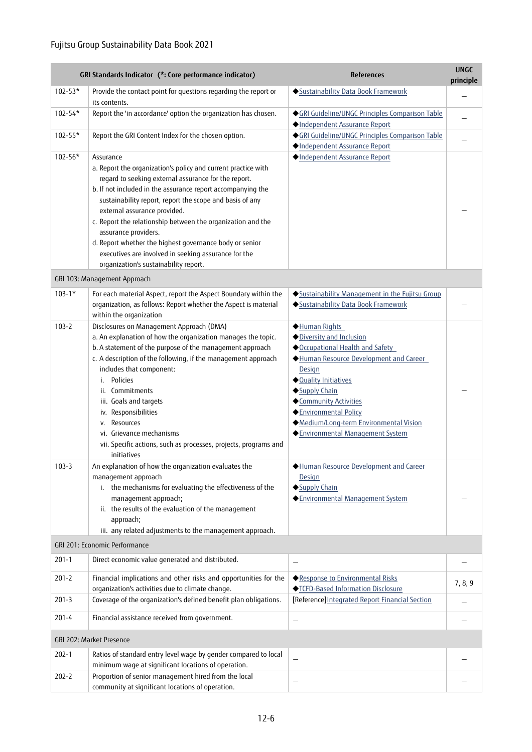|             | GRI Standards Indicator (*: Core performance indicator)                                                                                                                                                                                                                                                                                                                                                                                                                                    | <b>References</b>                                                                                                                                                                                                                                                                                      | <b>UNGC</b><br>principle |
|-------------|--------------------------------------------------------------------------------------------------------------------------------------------------------------------------------------------------------------------------------------------------------------------------------------------------------------------------------------------------------------------------------------------------------------------------------------------------------------------------------------------|--------------------------------------------------------------------------------------------------------------------------------------------------------------------------------------------------------------------------------------------------------------------------------------------------------|--------------------------|
| $102 - 53*$ | Provide the contact point for questions regarding the report or<br>its contents.                                                                                                                                                                                                                                                                                                                                                                                                           | Sustainability Data Book Framework                                                                                                                                                                                                                                                                     |                          |
| 102-54*     | Report the 'in accordance' option the organization has chosen.                                                                                                                                                                                                                                                                                                                                                                                                                             | ◆GRI Guideline/UNGC Principles Comparison Table<br>Independent Assurance Report                                                                                                                                                                                                                        |                          |
| 102-55*     | Report the GRI Content Index for the chosen option.                                                                                                                                                                                                                                                                                                                                                                                                                                        | ◆ GRI Guideline/UNGC Principles Comparison Table<br>Independent Assurance Report                                                                                                                                                                                                                       |                          |
| $102 - 56*$ | Assurance<br>a. Report the organization's policy and current practice with                                                                                                                                                                                                                                                                                                                                                                                                                 | Independent Assurance Report                                                                                                                                                                                                                                                                           |                          |
|             | regard to seeking external assurance for the report.<br>b. If not included in the assurance report accompanying the<br>sustainability report, report the scope and basis of any<br>external assurance provided.<br>c. Report the relationship between the organization and the<br>assurance providers.                                                                                                                                                                                     |                                                                                                                                                                                                                                                                                                        |                          |
|             | d. Report whether the highest governance body or senior<br>executives are involved in seeking assurance for the<br>organization's sustainability report.                                                                                                                                                                                                                                                                                                                                   |                                                                                                                                                                                                                                                                                                        |                          |
|             | GRI 103: Management Approach                                                                                                                                                                                                                                                                                                                                                                                                                                                               |                                                                                                                                                                                                                                                                                                        |                          |
| $103 - 1*$  | For each material Aspect, report the Aspect Boundary within the<br>organization, as follows: Report whether the Aspect is material<br>within the organization                                                                                                                                                                                                                                                                                                                              | Sustainability Management in the Fujitsu Group<br>Sustainability Data Book Framework                                                                                                                                                                                                                   |                          |
| $103 - 2$   | Disclosures on Management Approach (DMA)<br>a. An explanation of how the organization manages the topic.<br>b. A statement of the purpose of the management approach<br>c. A description of the following, if the management approach<br>includes that component:<br>Policies<br>i.<br>ii. Commitments<br>iii. Goals and targets<br>iv. Responsibilities<br>Resources<br>V.<br>vi. Grievance mechanisms<br>vii. Specific actions, such as processes, projects, programs and<br>initiatives | Human Rights<br>Diversity and Inclusion<br>Occupational Health and Safety<br>Human Resource Development and Career<br>Design<br>◆ Quality Initiatives<br>Supply Chain<br>◆Community Activities<br>Environmental Policy<br>◆ Medium/Long-term Environmental Vision<br>◆ Environmental Management System |                          |
| $103 - 3$   | An explanation of how the organization evaluates the<br>management approach<br>i. the mechanisms for evaluating the effectiveness of the<br>management approach;<br>ii. the results of the evaluation of the management<br>approach;<br>iii. any related adjustments to the management approach.                                                                                                                                                                                           | Human Resource Development and Career<br>Design<br>◆Supply Chain<br>◆Environmental Management System                                                                                                                                                                                                   |                          |
|             | GRI 201: Economic Performance                                                                                                                                                                                                                                                                                                                                                                                                                                                              |                                                                                                                                                                                                                                                                                                        |                          |
| $201 - 1$   | Direct economic value generated and distributed.                                                                                                                                                                                                                                                                                                                                                                                                                                           |                                                                                                                                                                                                                                                                                                        |                          |
| $201 - 2$   | Financial implications and other risks and opportunities for the<br>organization's activities due to climate change.                                                                                                                                                                                                                                                                                                                                                                       | ◆ Response to Environmental Risks<br>◆ TCFD-Based Information Disclosure                                                                                                                                                                                                                               | 7, 8, 9                  |
| $201 - 3$   | Coverage of the organization's defined benefit plan obligations.                                                                                                                                                                                                                                                                                                                                                                                                                           | [Reference] Integrated Report Financial Section                                                                                                                                                                                                                                                        |                          |
| 201-4       | Financial assistance received from government.                                                                                                                                                                                                                                                                                                                                                                                                                                             |                                                                                                                                                                                                                                                                                                        |                          |
|             | GRI 202: Market Presence                                                                                                                                                                                                                                                                                                                                                                                                                                                                   |                                                                                                                                                                                                                                                                                                        |                          |
| $202 - 1$   | Ratios of standard entry level wage by gender compared to local<br>minimum wage at significant locations of operation.                                                                                                                                                                                                                                                                                                                                                                     |                                                                                                                                                                                                                                                                                                        |                          |
| $202 - 2$   | Proportion of senior management hired from the local<br>community at significant locations of operation.                                                                                                                                                                                                                                                                                                                                                                                   |                                                                                                                                                                                                                                                                                                        |                          |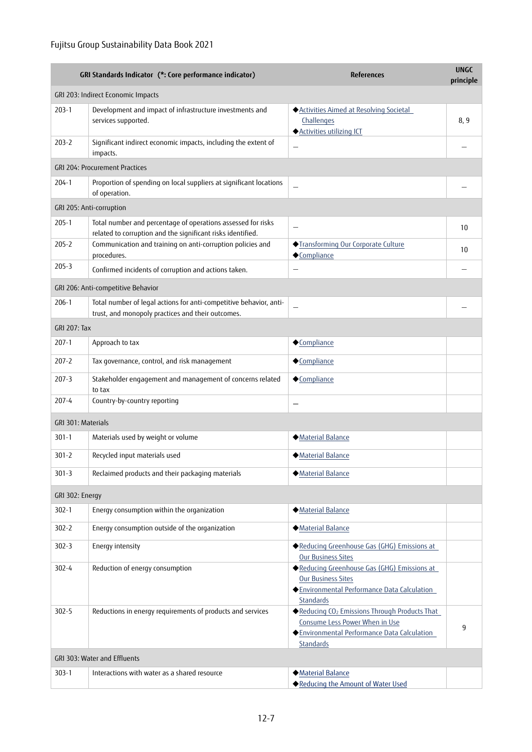|                              | GRI Standards Indicator (*: Core performance indicator)                                                                     | <b>References</b>                                                                                                                                     | <b>UNGC</b><br>principle |
|------------------------------|-----------------------------------------------------------------------------------------------------------------------------|-------------------------------------------------------------------------------------------------------------------------------------------------------|--------------------------|
|                              | GRI 203: Indirect Economic Impacts                                                                                          |                                                                                                                                                       |                          |
| $203-1$                      | Development and impact of infrastructure investments and<br>services supported.                                             | Activities Aimed at Resolving Societal<br>Challenges<br>◆ Activities utilizing ICT                                                                    | 8,9                      |
| $203 - 2$                    | Significant indirect economic impacts, including the extent of<br>impacts.                                                  |                                                                                                                                                       |                          |
|                              | GRI 204: Procurement Practices                                                                                              |                                                                                                                                                       |                          |
| 204-1                        | Proportion of spending on local suppliers at significant locations<br>of operation.                                         | $\overline{\phantom{0}}$                                                                                                                              |                          |
|                              | GRI 205: Anti-corruption                                                                                                    |                                                                                                                                                       |                          |
| $205 - 1$                    | Total number and percentage of operations assessed for risks<br>related to corruption and the significant risks identified. | $\overline{\phantom{0}}$                                                                                                                              | 10                       |
| $205 - 2$                    | Communication and training on anti-corruption policies and<br>procedures.                                                   | ◆Transforming Our Corporate Culture<br>◆Compliance                                                                                                    | 10                       |
| $205 - 3$                    | Confirmed incidents of corruption and actions taken.                                                                        | —                                                                                                                                                     |                          |
|                              | GRI 206: Anti-competitive Behavior                                                                                          |                                                                                                                                                       |                          |
| $206-1$                      | Total number of legal actions for anti-competitive behavior, anti-<br>trust, and monopoly practices and their outcomes.     |                                                                                                                                                       |                          |
| <b>GRI 207: Tax</b>          |                                                                                                                             |                                                                                                                                                       |                          |
| 207-1                        | Approach to tax                                                                                                             | ◆Compliance                                                                                                                                           |                          |
| $207 - 2$                    | Tax governance, control, and risk management                                                                                | ◆Compliance                                                                                                                                           |                          |
| 207-3                        | Stakeholder engagement and management of concerns related<br>to tax                                                         | ◆Compliance                                                                                                                                           |                          |
| $207 - 4$                    | Country-by-country reporting                                                                                                | $\overline{\phantom{0}}$                                                                                                                              |                          |
| GRI 301: Materials           |                                                                                                                             |                                                                                                                                                       |                          |
| $301 - 1$                    | Materials used by weight or volume                                                                                          | Material Balance                                                                                                                                      |                          |
| $301 - 2$                    | Recycled input materials used                                                                                               | Material Balance                                                                                                                                      |                          |
| $301 - 3$                    | Reclaimed products and their packaging materials                                                                            | <b>Material Balance</b>                                                                                                                               |                          |
| GRI 302: Energy              |                                                                                                                             |                                                                                                                                                       |                          |
| $302 - 1$                    | Energy consumption within the organization                                                                                  | Material Balance                                                                                                                                      |                          |
| $302 - 2$                    | Energy consumption outside of the organization                                                                              | <b>Material Balance</b>                                                                                                                               |                          |
| $302 - 3$                    | Energy intensity                                                                                                            | ◆ Reducing Greenhouse Gas (GHG) Emissions at<br>Our Business Sites                                                                                    |                          |
| $302 - 4$                    | Reduction of energy consumption                                                                                             | Reducing Greenhouse Gas (GHG) Emissions at<br><b>Our Business Sites</b><br>Environmental Performance Data Calculation<br><b>Standards</b>             |                          |
| $302 - 5$                    | Reductions in energy requirements of products and services                                                                  | Reducing CO <sub>2</sub> Emissions Through Products That<br>Consume Less Power When in Use<br>Environmental Performance Data Calculation<br>Standards | 9                        |
| GRI 303: Water and Effluents |                                                                                                                             |                                                                                                                                                       |                          |
| 303-1                        | Interactions with water as a shared resource                                                                                | Material Balance<br>◆ Reducing the Amount of Water Used                                                                                               |                          |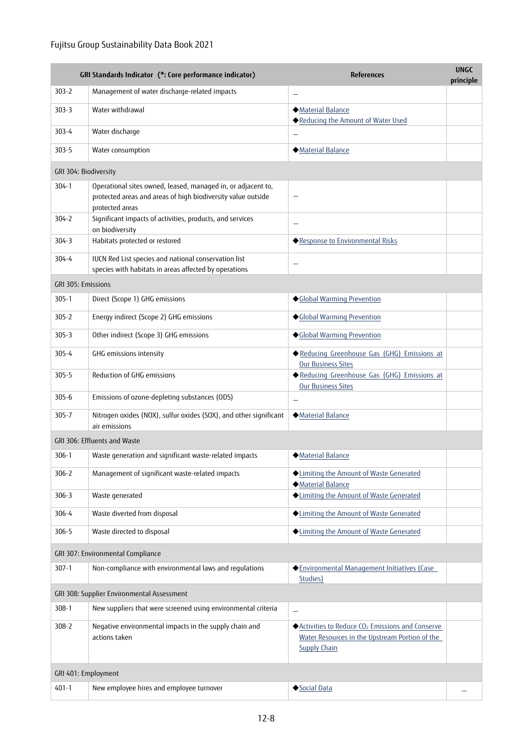## Fujitsu Group Sustainability Data Book 2021

|                       | GRI Standards Indicator (*: Core performance indicator)                                                                                         | <b>References</b>                                                                                                                      | <b>UNGC</b><br>principle |
|-----------------------|-------------------------------------------------------------------------------------------------------------------------------------------------|----------------------------------------------------------------------------------------------------------------------------------------|--------------------------|
| $303 - 2$             | Management of water discharge-related impacts                                                                                                   | $\qquad \qquad -$                                                                                                                      |                          |
| $303 - 3$             | Water withdrawal                                                                                                                                | Material Balance<br>◆ Reducing the Amount of Water Used                                                                                |                          |
| 303-4                 | Water discharge                                                                                                                                 |                                                                                                                                        |                          |
| $303 - 5$             | Water consumption                                                                                                                               | Material Balance                                                                                                                       |                          |
| GRI 304: Biodiversity |                                                                                                                                                 |                                                                                                                                        |                          |
| $304 - 1$             | Operational sites owned, leased, managed in, or adjacent to,<br>protected areas and areas of high biodiversity value outside<br>protected areas |                                                                                                                                        |                          |
| $304 - 2$             | Significant impacts of activities, products, and services<br>on biodiversity                                                                    | $\overline{\phantom{0}}$                                                                                                               |                          |
| $304 - 3$             | Habitats protected or restored                                                                                                                  | ◆ Response to Environmental Risks                                                                                                      |                          |
| $304 - 4$             | IUCN Red List species and national conservation list<br>species with habitats in areas affected by operations                                   |                                                                                                                                        |                          |
| GRI 305: Emissions    |                                                                                                                                                 |                                                                                                                                        |                          |
| $305 - 1$             | Direct (Scope 1) GHG emissions                                                                                                                  | ◆Global Warming Prevention                                                                                                             |                          |
| $305 - 2$             | Energy indirect (Scope 2) GHG emissions                                                                                                         | ◆Global Warming Prevention                                                                                                             |                          |
| $305 - 3$             | Other indirect (Scope 3) GHG emissions                                                                                                          | ◆Global Warming Prevention                                                                                                             |                          |
| $305 - 4$             | GHG emissions intensity                                                                                                                         | Reducing Greenhouse Gas (GHG) Emissions at<br>Our Business Sites                                                                       |                          |
| $305 - 5$             | Reduction of GHG emissions                                                                                                                      | Reducing Greenhouse Gas (GHG) Emissions at<br>Our Business Sites                                                                       |                          |
| $305 - 6$             | Emissions of ozone-depleting substances (ODS)                                                                                                   |                                                                                                                                        |                          |
| $305 - 7$             | Nitrogen oxides (NOX), sulfur oxides (SOX), and other significant<br>air emissions                                                              | Material Balance                                                                                                                       |                          |
|                       | GRI 306: Effluents and Waste                                                                                                                    |                                                                                                                                        |                          |
| $306-1$               | Waste generation and significant waste-related impacts                                                                                          | ◆ Material Balance                                                                                                                     |                          |
| $306 - 2$             | Management of significant waste-related impacts                                                                                                 | ◆ Limiting the Amount of Waste Generated<br>Material Balance                                                                           |                          |
| $306 - 3$             | Waste generated                                                                                                                                 | Limiting the Amount of Waste Generated                                                                                                 |                          |
| $306 - 4$             | Waste diverted from disposal                                                                                                                    | ◆ Limiting the Amount of Waste Generated                                                                                               |                          |
| 306-5                 | Waste directed to disposal                                                                                                                      | ◆ Limiting the Amount of Waste Generated                                                                                               |                          |
|                       | GRI 307: Environmental Compliance                                                                                                               |                                                                                                                                        |                          |
| $307 - 1$             | Non-compliance with environmental laws and regulations                                                                                          | ◆ Environmental Management Initiatives (Case<br>Studies)                                                                               |                          |
|                       | GRI 308: Supplier Environmental Assessment                                                                                                      |                                                                                                                                        |                          |
| $308 - 1$             | New suppliers that were screened using environmental criteria                                                                                   | $\qquad \qquad -$                                                                                                                      |                          |
| 308-2                 | Negative environmental impacts in the supply chain and<br>actions taken                                                                         | ◆ Activities to Reduce CO <sub>2</sub> Emissions and Conserve<br>Water Resources in the Upstream Portion of the<br><b>Supply Chain</b> |                          |
| GRI 401: Employment   |                                                                                                                                                 |                                                                                                                                        |                          |
| $401 - 1$             | New employee hires and employee turnover                                                                                                        | Social Data                                                                                                                            |                          |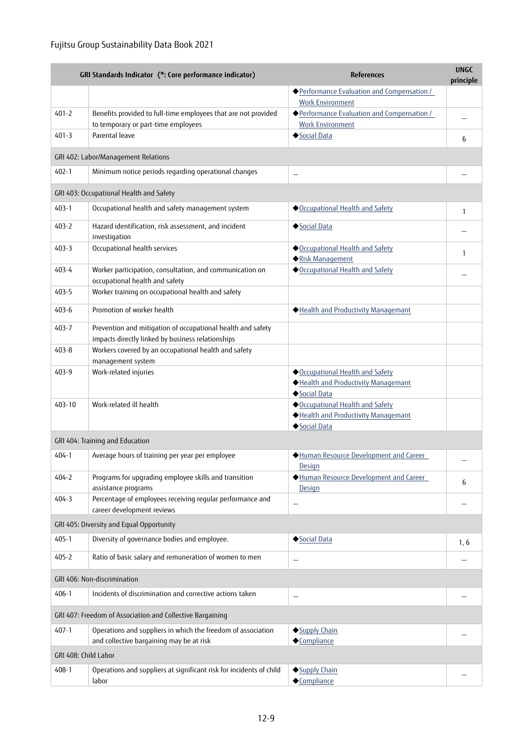|                      | GRI Standards Indicator (*: Core performance indicator)                                                          | <b>References</b>                                                                   | <b>UNGC</b><br>principle |
|----------------------|------------------------------------------------------------------------------------------------------------------|-------------------------------------------------------------------------------------|--------------------------|
|                      |                                                                                                                  | ◆ Performance Evaluation and Compensation /<br><b>Work Environment</b>              |                          |
| $401 - 2$            | Benefits provided to full-time employees that are not provided<br>to temporary or part-time employees            | ◆ Performance Evaluation and Compensation /<br><b>Work Environment</b>              |                          |
| $401 - 3$            | Parental leave                                                                                                   | Social Data                                                                         | 6                        |
|                      | GRI 402: Labor/Management Relations                                                                              |                                                                                     |                          |
| $402 - 1$            | Minimum notice periods regarding operational changes                                                             | $\overline{\phantom{0}}$                                                            |                          |
|                      | GRI 403: Occupational Health and Safety                                                                          |                                                                                     |                          |
| $403 - 1$            | Occupational health and safety management system                                                                 | ◆Occupational Health and Safety                                                     | 1                        |
| $403 - 2$            | Hazard identification, risk assessment, and incident<br>investigation                                            | Social Data                                                                         |                          |
| $403 - 3$            | Occupational health services                                                                                     | ◆ Occupational Health and Safety<br>Risk Management                                 | $\mathbf{1}$             |
| 403-4                | Worker participation, consultation, and communication on<br>occupational health and safety                       | ◆Occupational Health and Safety                                                     |                          |
| $403 - 5$            | Worker training on occupational health and safety                                                                |                                                                                     |                          |
| $403 - 6$            | Promotion of worker health                                                                                       | Health and Productivity Managemant                                                  |                          |
| 403-7                | Prevention and mitigation of occupational health and safety<br>impacts directly linked by business relationships |                                                                                     |                          |
| $403 - 8$            | Workers covered by an occupational health and safety<br>management system                                        |                                                                                     |                          |
| 403-9                | Work-related injuries                                                                                            | Occupational Health and Safety<br>Health and Productivity Managemant<br>Social Data |                          |
| 403-10               | Work-related ill health                                                                                          | Occupational Health and Safety<br>Health and Productivity Managemant<br>Social Data |                          |
|                      | GRI 404: Training and Education                                                                                  |                                                                                     |                          |
| $404 - 1$            | Average hours of training per year per employee                                                                  | Human Resource Development and Career<br><b>Design</b>                              |                          |
| $404 - 2$            | Programs for upgrading employee skills and transition<br>assistance programs                                     | Human Resource Development and Career<br>Design                                     | 6                        |
| $404 - 3$            | Percentage of employees receiving regular performance and<br>career development reviews                          |                                                                                     |                          |
|                      | GRI 405: Diversity and Equal Opportunity                                                                         |                                                                                     |                          |
| $405 - 1$            | Diversity of governance bodies and employee.                                                                     | Social Data                                                                         | 1, 6                     |
| $405 - 2$            | Ratio of basic salary and remuneration of women to men                                                           | $\overline{\phantom{0}}$                                                            |                          |
|                      | GRI 406: Non-discrimination                                                                                      |                                                                                     |                          |
| $406 - 1$            | Incidents of discrimination and corrective actions taken                                                         | $\overline{\phantom{0}}$                                                            |                          |
|                      | GRI 407: Freedom of Association and Collective Bargaining                                                        |                                                                                     |                          |
| $407 - 1$            | Operations and suppliers in which the freedom of association<br>and collective bargaining may be at risk         | Supply Chain<br>◆Compliance                                                         |                          |
| GRI 408: Child Labor |                                                                                                                  |                                                                                     |                          |
| $408 - 1$            | Operations and suppliers at significant risk for incidents of child                                              | Supply Chain                                                                        |                          |
|                      | labor                                                                                                            | ◆Compliance                                                                         |                          |